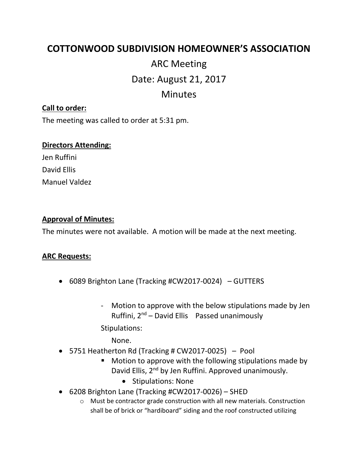# **COTTONWOOD SUBDIVISION HOMEOWNER'S ASSOCIATION**

# ARC Meeting Date: August 21, 2017 Minutes

# **Call to order:**

The meeting was called to order at 5:31 pm.

#### **Directors Attending:**

Jen Ruffini David Ellis Manuel Valdez

# **Approval of Minutes:**

The minutes were not available. A motion will be made at the next meeting.

# **ARC Requests:**

- 6089 Brighton Lane (Tracking #CW2017-0024) GUTTERS
	- Motion to approve with the below stipulations made by Jen Ruffini,  $2^{nd}$  – David Ellis Passed unanimously

Stipulations:

None.

- 5751 Heatherton Rd (Tracking # CW2017-0025) Pool
	- Motion to approve with the following stipulations made by David Ellis, 2<sup>nd</sup> by Jen Ruffini. Approved unanimously.
		- Stipulations: None
- 6208 Brighton Lane (Tracking #CW2017-0026) SHED
	- o Must be contractor grade construction with all new materials. Construction shall be of brick or "hardiboard" siding and the roof constructed utilizing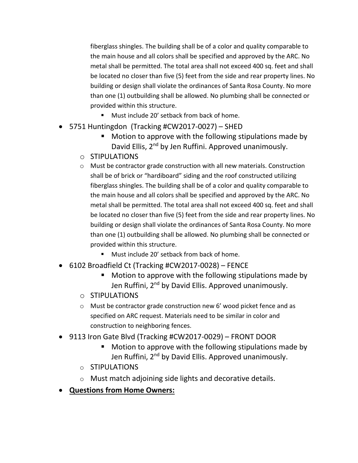fiberglass shingles. The building shall be of a color and quality comparable to the main house and all colors shall be specified and approved by the ARC. No metal shall be permitted. The total area shall not exceed 400 sq. feet and shall be located no closer than five (5) feet from the side and rear property lines. No building or design shall violate the ordinances of Santa Rosa County. No more than one (1) outbuilding shall be allowed. No plumbing shall be connected or provided within this structure.

- Must include 20' setback from back of home.
- 5751 Huntingdon (Tracking #CW2017-0027) SHED
	- Motion to approve with the following stipulations made by David Ellis, 2nd by Jen Ruffini. Approved unanimously.
	- o STIPULATIONS
	- o Must be contractor grade construction with all new materials. Construction shall be of brick or "hardiboard" siding and the roof constructed utilizing fiberglass shingles. The building shall be of a color and quality comparable to the main house and all colors shall be specified and approved by the ARC. No metal shall be permitted. The total area shall not exceed 400 sq. feet and shall be located no closer than five (5) feet from the side and rear property lines. No building or design shall violate the ordinances of Santa Rosa County. No more than one (1) outbuilding shall be allowed. No plumbing shall be connected or provided within this structure.
		- Must include 20' setback from back of home.
- 6102 Broadfield Ct (Tracking #CW2017-0028) FENCE
	- Motion to approve with the following stipulations made by Jen Ruffini, 2<sup>nd</sup> by David Ellis. Approved unanimously.
	- o STIPULATIONS
	- o Must be contractor grade construction new 6' wood picket fence and as specified on ARC request. Materials need to be similar in color and construction to neighboring fences.
- 9113 Iron Gate Blvd (Tracking #CW2017-0029) FRONT DOOR
	- Motion to approve with the following stipulations made by Jen Ruffini, 2<sup>nd</sup> by David Ellis. Approved unanimously.
	- o STIPULATIONS
	- o Must match adjoining side lights and decorative details.
- **Questions from Home Owners:**